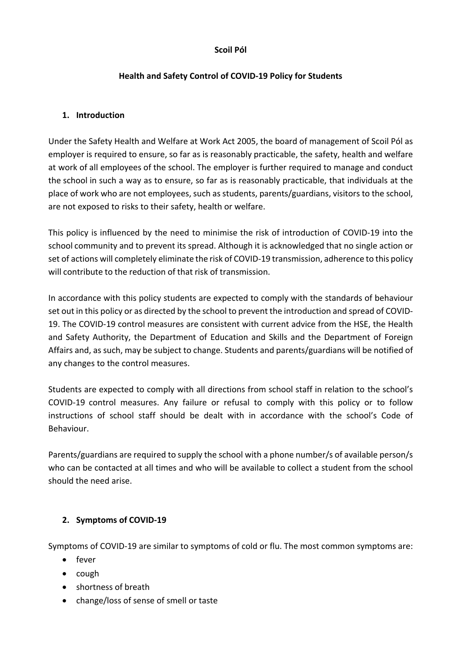#### **Scoil Pól**

### **Health and Safety Control of COVID-19 Policy for Students**

#### **1. Introduction**

Under the Safety Health and Welfare at Work Act 2005, the board of management of Scoil Pól as employer is required to ensure, so far as is reasonably practicable, the safety, health and welfare at work of all employees of the school. The employer is further required to manage and conduct the school in such a way as to ensure, so far as is reasonably practicable, that individuals at the place of work who are not employees, such as students, parents/guardians, visitors to the school, are not exposed to risks to their safety, health or welfare.

This policy is influenced by the need to minimise the risk of introduction of COVID-19 into the school community and to prevent its spread. Although it is acknowledged that no single action or set of actions will completely eliminate the risk of COVID-19 transmission, adherence to this policy will contribute to the reduction of that risk of transmission.

In accordance with this policy students are expected to comply with the standards of behaviour set out in this policy or as directed by the school to prevent the introduction and spread of COVID-19. The COVID-19 control measures are consistent with current advice from the HSE, the Health and Safety Authority, the Department of Education and Skills and the Department of Foreign Affairs and, as such, may be subject to change. Students and parents/guardians will be notified of any changes to the control measures.

Students are expected to comply with all directions from school staff in relation to the school's COVID-19 control measures. Any failure or refusal to comply with this policy or to follow instructions of school staff should be dealt with in accordance with the school's Code of Behaviour.

Parents/guardians are required to supply the school with a phone number/s of available person/s who can be contacted at all times and who will be available to collect a student from the school should the need arise.

## **2. Symptoms of COVID-19**

Symptoms of COVID-19 are similar to symptoms of cold or flu. The most common symptoms are:

- fever
- cough
- shortness of breath
- change/loss of sense of smell or taste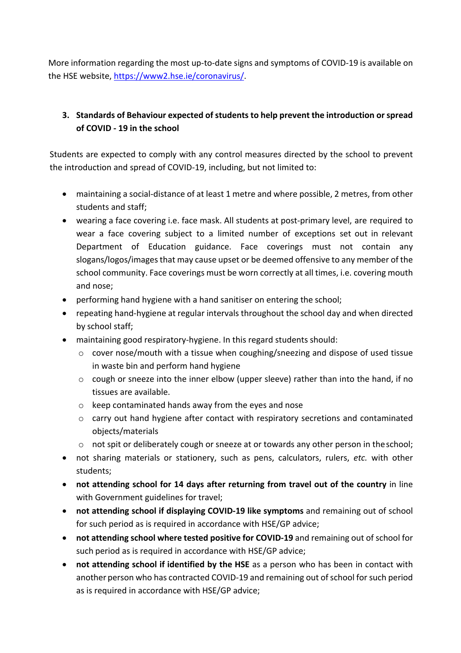More information regarding the most up-to-date signs and symptoms of COVID-19 is available on the HSE website, https://www2.hse.ie/coronavirus/.

# **3. Standards of Behaviour expected of students to help prevent the introduction or spread of COVID - 19 in the school**

Students are expected to comply with any control measures directed by the school to prevent the introduction and spread of COVID-19, including, but not limited to:

- maintaining a social-distance of at least 1 metre and where possible, 2 metres, from other students and staff;
- wearing a face covering i.e. face mask. All students at post-primary level, are required to wear a face covering subject to a limited number of exceptions set out in relevant Department of Education guidance. Face coverings must not contain any slogans/logos/images that may cause upset or be deemed offensive to any member of the school community. Face coverings must be worn correctly at all times, i.e. covering mouth and nose;
- performing hand hygiene with a hand sanitiser on entering the school;
- repeating hand-hygiene at regular intervals throughout the school day and when directed by school staff;
- maintaining good respiratory-hygiene. In this regard students should:
	- o cover nose/mouth with a tissue when coughing/sneezing and dispose of used tissue in waste bin and perform hand hygiene
	- o cough or sneeze into the inner elbow (upper sleeve) rather than into the hand, if no tissues are available.
	- o keep contaminated hands away from the eyes and nose
	- o carry out hand hygiene after contact with respiratory secretions and contaminated objects/materials
	- o not spit or deliberately cough or sneeze at or towards any other person in theschool;
- not sharing materials or stationery, such as pens, calculators, rulers, *etc.* with other students;
- **not attending school for 14 days after returning from travel out of the country** in line with Government guidelines for travel;
- **not attending school if displaying COVID-19 like symptoms** and remaining out of school for such period as is required in accordance with HSE/GP advice;
- **not attending school where tested positive for COVID-19** and remaining out of school for such period as is required in accordance with HSE/GP advice;
- **not attending school if identified by the HSE** as a person who has been in contact with another person who has contracted COVID-19 and remaining out of school for such period as is required in accordance with HSE/GP advice;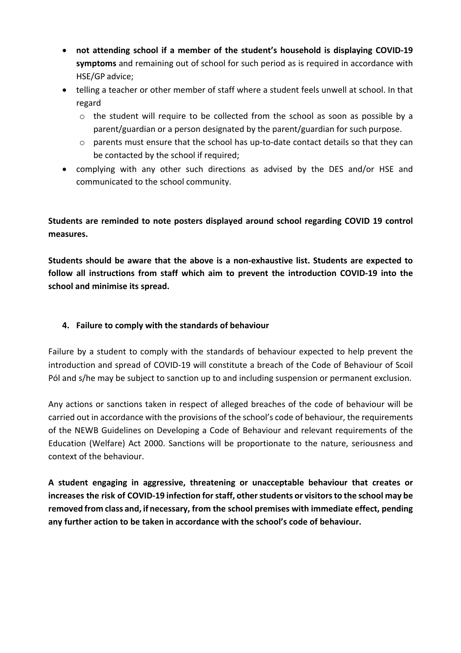- **not attending school if a member of the student's household is displaying COVID-19 symptoms** and remaining out of school for such period as is required in accordance with HSE/GP advice;
- telling a teacher or other member of staff where a student feels unwell at school. In that regard
	- $\circ$  the student will require to be collected from the school as soon as possible by a parent/guardian or a person designated by the parent/guardian for such purpose.
	- $\circ$  parents must ensure that the school has up-to-date contact details so that they can be contacted by the school if required;
- complying with any other such directions as advised by the DES and/or HSE and communicated to the school community.

**Students are reminded to note posters displayed around school regarding COVID 19 control measures.**

**Students should be aware that the above is a non-exhaustive list. Students are expected to follow all instructions from staff which aim to prevent the introduction COVID-19 into the school and minimise its spread.**

# **4. Failure to comply with the standards of behaviour**

Failure by a student to comply with the standards of behaviour expected to help prevent the introduction and spread of COVID-19 will constitute a breach of the Code of Behaviour of Scoil Pól and s/he may be subject to sanction up to and including suspension or permanent exclusion.

Any actions or sanctions taken in respect of alleged breaches of the code of behaviour will be carried out in accordance with the provisions of the school's code of behaviour, the requirements of the NEWB Guidelines on Developing a Code of Behaviour and relevant requirements of the Education (Welfare) Act 2000. Sanctions will be proportionate to the nature, seriousness and context of the behaviour.

**A student engaging in aggressive, threatening or unacceptable behaviour that creates or increases the risk of COVID-19 infection forstaff, otherstudents or visitorsto the school may be removed from class and, if necessary, from the school premises with immediate effect, pending any further action to be taken in accordance with the school's code of behaviour.**